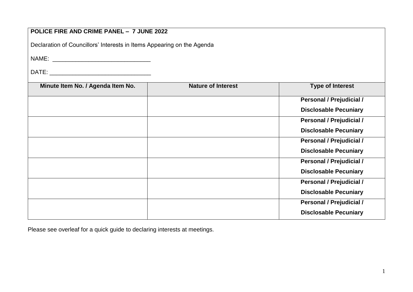# **POLICE FIRE AND CRIME PANEL – 7 JUNE 2022** Declaration of Councillors' Interests in Items Appearing on the Agenda NAME: \_\_\_\_\_\_\_\_\_\_\_\_\_\_\_\_\_\_\_\_\_\_\_\_\_\_\_\_\_\_ DATE: **Minute Item No. / Agenda Item No. | Nature of Interest | Type of Interest | Type of Interest Personal / Prejudicial / Disclosable Pecuniary Personal / Prejudicial / Disclosable Pecuniary Personal / Prejudicial / Disclosable Pecuniary Personal / Prejudicial / Disclosable Pecuniary Personal / Prejudicial / Disclosable Pecuniary Personal / Prejudicial / Disclosable Pecuniary**

Please see overleaf for a quick guide to declaring interests at meetings.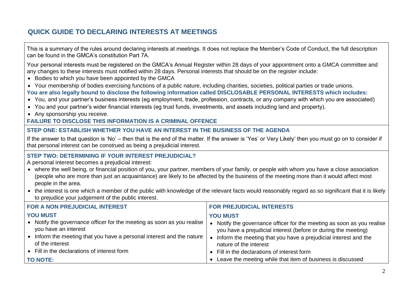# **QUICK GUIDE TO DECLARING INTERESTS AT MEETINGS**

This is a summary of the rules around declaring interests at meetings. It does not replace the Member's Code of Conduct, the full description can be found in the GMCA's constitution Part 7A.

Your personal interests must be registered on the GMCA's Annual Register within 28 days of your appointment onto a GMCA committee and any changes to these interests must notified within 28 days. Personal interests that should be on the register include:

- Bodies to which you have been appointed by the GMCA
- Your membership of bodies exercising functions of a public nature, including charities, societies, political parties or trade unions.

**You are also legally bound to disclose the following information called DISCLOSABLE PERSONAL INTERESTS which includes:**

- You, and your partner's business interests (eg employment, trade, profession, contracts, or any company with which you are associated)
- You and your partner's wider financial interests (eg trust funds, investments, and assets including land and property).
- Any sponsorship you receive.

## **FAILURE TO DISCLOSE THIS INFORMATION IS A CRIMINAL OFFENCE**

### **STEP ONE: ESTABLISH WHETHER YOU HAVE AN INTEREST IN THE BUSINESS OF THE AGENDA**

If the answer to that question is 'No' – then that is the end of the matter. If the answer is 'Yes' or Very Likely' then you must go on to consider if that personal interest can be construed as being a prejudicial interest.

### **STEP TWO: DETERMINING IF YOUR INTEREST PREJUDICIAL?**

A personal interest becomes a prejudicial interest:

- where the well being, or financial position of you, your partner, members of your family, or people with whom you have a close association (people who are more than just an acquaintance) are likely to be affected by the business of the meeting more than it would affect most people in the area.
- the interest is one which a member of the public with knowledge of the relevant facts would reasonably regard as so significant that it is likely to prejudice your judgement of the public interest.

| <b>FOR A NON PREJUDICIAL INTEREST</b>                                                          | <b>FOR PREJUDICIAL INTERESTS</b>                                                                                                       |
|------------------------------------------------------------------------------------------------|----------------------------------------------------------------------------------------------------------------------------------------|
| <b>YOU MUST</b>                                                                                | <b>YOU MUST</b>                                                                                                                        |
| • Notify the governance officer for the meeting as soon as you realise<br>you have an interest | Notify the governance officer for the meeting as soon as you realise<br>you have a prejudicial interest (before or during the meeting) |
| • Inform the meeting that you have a personal interest and the nature<br>of the interest       | Inform the meeting that you have a prejudicial interest and the<br>nature of the interest                                              |
| • Fill in the declarations of interest form                                                    | • Fill in the declarations of interest form                                                                                            |
| <b>TO NOTE:</b>                                                                                | Leave the meeting while that item of business is discussed                                                                             |